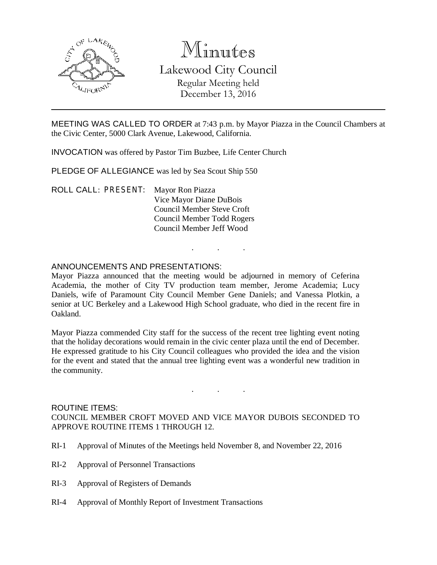

# Minutes Lakewood City Council Regular Meeting held December 13, 2016

MEETING WAS CALLED TO ORDER at 7:43 p.m. by Mayor Piazza in the Council Chambers at the Civic Center, 5000 Clark Avenue, Lakewood, California.

INVOCATION was offered by Pastor Tim Buzbee, Life Center Church

PLEDGE OF ALLEGIANCE was led by Sea Scout Ship 550

ROLL CALL: PRESENT: Mayor Ron Piazza Vice Mayor Diane DuBois Council Member Steve Croft Council Member Todd Rogers Council Member Jeff Wood

#### ANNOUNCEMENTS AND PRESENTATIONS:

Mayor Piazza announced that the meeting would be adjourned in memory of Ceferina Academia, the mother of City TV production team member, Jerome Academia; Lucy Daniels, wife of Paramount City Council Member Gene Daniels; and Vanessa Plotkin, a senior at UC Berkeley and a Lakewood High School graduate, who died in the recent fire in Oakland.

. . .

Mayor Piazza commended City staff for the success of the recent tree lighting event noting that the holiday decorations would remain in the civic center plaza until the end of December. He expressed gratitude to his City Council colleagues who provided the idea and the vision for the event and stated that the annual tree lighting event was a wonderful new tradition in the community.

ROUTINE ITEMS: COUNCIL MEMBER CROFT MOVED AND VICE MAYOR DUBOIS SECONDED TO APPROVE ROUTINE ITEMS 1 THROUGH 12.

. . .

- RI-1 Approval of Minutes of the Meetings held November 8, and November 22, 2016
- RI-2 Approval of Personnel Transactions
- RI-3 Approval of Registers of Demands
- RI-4 Approval of Monthly Report of Investment Transactions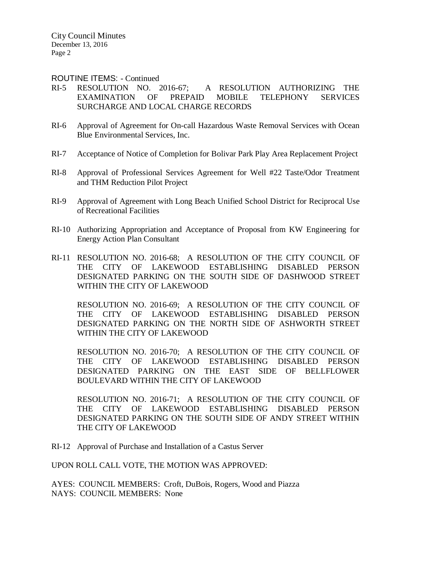#### ROUTINE ITEMS: - Continued

- RI-5 RESOLUTION NO. 2016-67; A RESOLUTION AUTHORIZING THE EXAMINATION OF PREPAID MOBILE TELEPHONY SERVICES SURCHARGE AND LOCAL CHARGE RECORDS
- RI-6 Approval of Agreement for On-call Hazardous Waste Removal Services with Ocean Blue Environmental Services, Inc.
- RI-7 Acceptance of Notice of Completion for Bolivar Park Play Area Replacement Project
- RI-8 Approval of Professional Services Agreement for Well #22 Taste/Odor Treatment and THM Reduction Pilot Project
- RI-9 Approval of Agreement with Long Beach Unified School District for Reciprocal Use of Recreational Facilities
- RI-10 Authorizing Appropriation and Acceptance of Proposal from KW Engineering for Energy Action Plan Consultant
- RI-11 RESOLUTION NO. 2016-68; A RESOLUTION OF THE CITY COUNCIL OF THE CITY OF LAKEWOOD ESTABLISHING DISABLED PERSON DESIGNATED PARKING ON THE SOUTH SIDE OF DASHWOOD STREET WITHIN THE CITY OF LAKEWOOD

RESOLUTION NO. 2016-69; A RESOLUTION OF THE CITY COUNCIL OF THE CITY OF LAKEWOOD ESTABLISHING DISABLED PERSON DESIGNATED PARKING ON THE NORTH SIDE OF ASHWORTH STREET WITHIN THE CITY OF LAKEWOOD

RESOLUTION NO. 2016-70; A RESOLUTION OF THE CITY COUNCIL OF THE CITY OF LAKEWOOD ESTABLISHING DISABLED PERSON DESIGNATED PARKING ON THE EAST SIDE OF BELLFLOWER BOULEVARD WITHIN THE CITY OF LAKEWOOD

RESOLUTION NO. 2016-71; A RESOLUTION OF THE CITY COUNCIL OF THE CITY OF LAKEWOOD ESTABLISHING DISABLED PERSON DESIGNATED PARKING ON THE SOUTH SIDE OF ANDY STREET WITHIN THE CITY OF LAKEWOOD

RI-12 Approval of Purchase and Installation of a Castus Server

UPON ROLL CALL VOTE, THE MOTION WAS APPROVED:

AYES: COUNCIL MEMBERS: Croft, DuBois, Rogers, Wood and Piazza NAYS: COUNCIL MEMBERS: None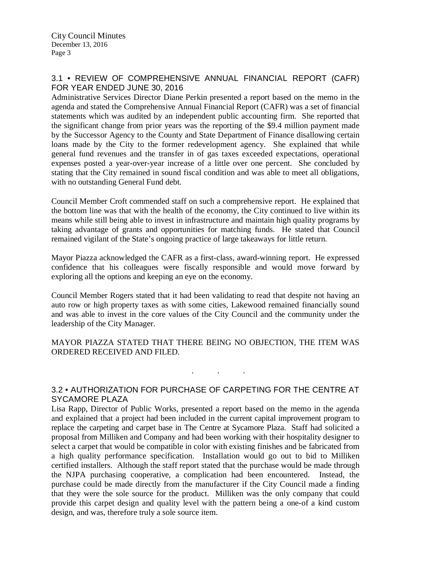## 3.1 • REVIEW OF COMPREHENSIVE ANNUAL FINANCIAL REPORT (CAFR) FOR YEAR ENDED JUNE 30, 2016

Administrative Services Director Diane Perkin presented a report based on the memo in the agenda and stated the Comprehensive Annual Financial Report (CAFR) was a set of financial statements which was audited by an independent public accounting firm. She reported that the significant change from prior years was the reporting of the \$9.4 million payment made by the Successor Agency to the County and State Department of Finance disallowing certain loans made by the City to the former redevelopment agency. She explained that while general fund revenues and the transfer in of gas taxes exceeded expectations, operational expenses posted a year-over-year increase of a little over one percent. She concluded by stating that the City remained in sound fiscal condition and was able to meet all obligations, with no outstanding General Fund debt.

Council Member Croft commended staff on such a comprehensive report. He explained that the bottom line was that with the health of the economy, the City continued to live within its means while still being able to invest in infrastructure and maintain high quality programs by taking advantage of grants and opportunities for matching funds. He stated that Council remained vigilant of the State's ongoing practice of large takeaways for little return.

Mayor Piazza acknowledged the CAFR as a first-class, award-winning report. He expressed confidence that his colleagues were fiscally responsible and would move forward by exploring all the options and keeping an eye on the economy.

Council Member Rogers stated that it had been validating to read that despite not having an auto row or high property taxes as with some cities, Lakewood remained financially sound and was able to invest in the core values of the City Council and the community under the leadership of the City Manager.

MAYOR PIAZZA STATED THAT THERE BEING NO OBJECTION, THE ITEM WAS ORDERED RECEIVED AND FILED.

## 3.2 • AUTHORIZATION FOR PURCHASE OF CARPETING FOR THE CENTRE AT SYCAMORE PLAZA

. . .

Lisa Rapp, Director of Public Works, presented a report based on the memo in the agenda and explained that a project had been included in the current capital improvement program to replace the carpeting and carpet base in The Centre at Sycamore Plaza. Staff had solicited a proposal from Milliken and Company and had been working with their hospitality designer to select a carpet that would be compatible in color with existing finishes and be fabricated from a high quality performance specification. Installation would go out to bid to Milliken certified installers. Although the staff report stated that the purchase would be made through the NJPA purchasing cooperative, a complication had been encountered. Instead, the purchase could be made directly from the manufacturer if the City Council made a finding that they were the sole source for the product. Milliken was the only company that could provide this carpet design and quality level with the pattern being a one-of a kind custom design, and was, therefore truly a sole source item.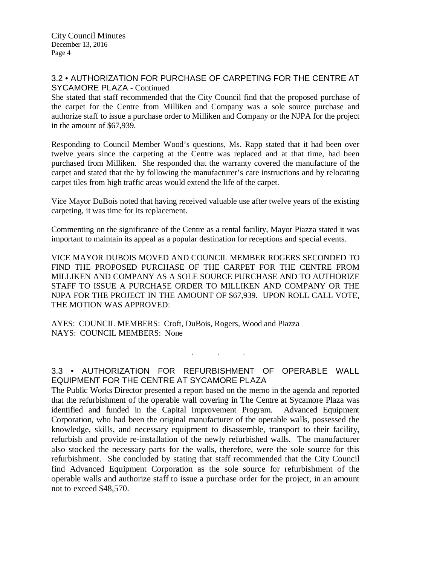### 3.2 • AUTHORIZATION FOR PURCHASE OF CARPETING FOR THE CENTRE AT SYCAMORE PLAZA - Continued

She stated that staff recommended that the City Council find that the proposed purchase of the carpet for the Centre from Milliken and Company was a sole source purchase and authorize staff to issue a purchase order to Milliken and Company or the NJPA for the project in the amount of \$67,939.

Responding to Council Member Wood's questions, Ms. Rapp stated that it had been over twelve years since the carpeting at the Centre was replaced and at that time, had been purchased from Milliken. She responded that the warranty covered the manufacture of the carpet and stated that the by following the manufacturer's care instructions and by relocating carpet tiles from high traffic areas would extend the life of the carpet.

Vice Mayor DuBois noted that having received valuable use after twelve years of the existing carpeting, it was time for its replacement.

Commenting on the significance of the Centre as a rental facility, Mayor Piazza stated it was important to maintain its appeal as a popular destination for receptions and special events.

VICE MAYOR DUBOIS MOVED AND COUNCIL MEMBER ROGERS SECONDED TO FIND THE PROPOSED PURCHASE OF THE CARPET FOR THE CENTRE FROM MILLIKEN AND COMPANY AS A SOLE SOURCE PURCHASE AND TO AUTHORIZE STAFF TO ISSUE A PURCHASE ORDER TO MILLIKEN AND COMPANY OR THE NJPA FOR THE PROJECT IN THE AMOUNT OF \$67,939. UPON ROLL CALL VOTE, THE MOTION WAS APPROVED:

AYES: COUNCIL MEMBERS: Croft, DuBois, Rogers, Wood and Piazza NAYS: COUNCIL MEMBERS: None

3.3 • AUTHORIZATION FOR REFURBISHMENT OF OPERABLE WALL EQUIPMENT FOR THE CENTRE AT SYCAMORE PLAZA

. . .

The Public Works Director presented a report based on the memo in the agenda and reported that the refurbishment of the operable wall covering in The Centre at Sycamore Plaza was identified and funded in the Capital Improvement Program. Advanced Equipment Corporation, who had been the original manufacturer of the operable walls, possessed the knowledge, skills, and necessary equipment to disassemble, transport to their facility, refurbish and provide re-installation of the newly refurbished walls. The manufacturer also stocked the necessary parts for the walls, therefore, were the sole source for this refurbishment. She concluded by stating that staff recommended that the City Council find Advanced Equipment Corporation as the sole source for refurbishment of the operable walls and authorize staff to issue a purchase order for the project, in an amount not to exceed \$48,570.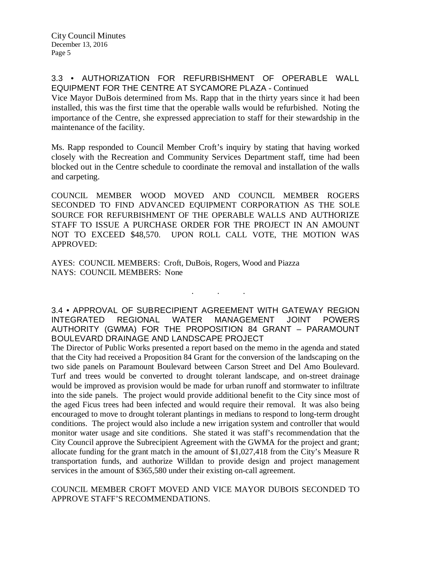### 3.3 • AUTHORIZATION FOR REFURBISHMENT OF OPERABLE WALL EQUIPMENT FOR THE CENTRE AT SYCAMORE PLAZA - Continued

Vice Mayor DuBois determined from Ms. Rapp that in the thirty years since it had been installed, this was the first time that the operable walls would be refurbished. Noting the importance of the Centre, she expressed appreciation to staff for their stewardship in the maintenance of the facility.

Ms. Rapp responded to Council Member Croft's inquiry by stating that having worked closely with the Recreation and Community Services Department staff, time had been blocked out in the Centre schedule to coordinate the removal and installation of the walls and carpeting.

COUNCIL MEMBER WOOD MOVED AND COUNCIL MEMBER ROGERS SECONDED TO FIND ADVANCED EQUIPMENT CORPORATION AS THE SOLE SOURCE FOR REFURBISHMENT OF THE OPERABLE WALLS AND AUTHORIZE STAFF TO ISSUE A PURCHASE ORDER FOR THE PROJECT IN AN AMOUNT NOT TO EXCEED \$48,570. UPON ROLL CALL VOTE, THE MOTION WAS APPROVED:

AYES: COUNCIL MEMBERS: Croft, DuBois, Rogers, Wood and Piazza NAYS: COUNCIL MEMBERS: None

3.4 • APPROVAL OF SUBRECIPIENT AGREEMENT WITH GATEWAY REGION INTEGRATED REGIONAL WATER MANAGEMENT JOINT POWERS AUTHORITY (GWMA) FOR THE PROPOSITION 84 GRANT – PARAMOUNT BOULEVARD DRAINAGE AND LANDSCAPE PROJECT

. . .

The Director of Public Works presented a report based on the memo in the agenda and stated that the City had received a Proposition 84 Grant for the conversion of the landscaping on the two side panels on Paramount Boulevard between Carson Street and Del Amo Boulevard. Turf and trees would be converted to drought tolerant landscape, and on-street drainage would be improved as provision would be made for urban runoff and stormwater to infiltrate into the side panels. The project would provide additional benefit to the City since most of the aged Ficus trees had been infected and would require their removal. It was also being encouraged to move to drought tolerant plantings in medians to respond to long-term drought conditions. The project would also include a new irrigation system and controller that would monitor water usage and site conditions. She stated it was staff's recommendation that the City Council approve the Subrecipient Agreement with the GWMA for the project and grant; allocate funding for the grant match in the amount of \$1,027,418 from the City's Measure R transportation funds, and authorize Willdan to provide design and project management services in the amount of \$365,580 under their existing on-call agreement.

COUNCIL MEMBER CROFT MOVED AND VICE MAYOR DUBOIS SECONDED TO APPROVE STAFF'S RECOMMENDATIONS.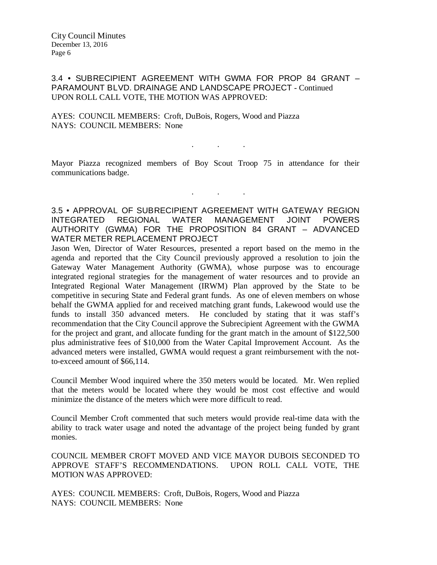3.4 • SUBRECIPIENT AGREEMENT WITH GWMA FOR PROP 84 GRANT – PARAMOUNT BLVD. DRAINAGE AND LANDSCAPE PROJECT - Continued UPON ROLL CALL VOTE, THE MOTION WAS APPROVED:

AYES: COUNCIL MEMBERS: Croft, DuBois, Rogers, Wood and Piazza NAYS: COUNCIL MEMBERS: None

Mayor Piazza recognized members of Boy Scout Troop 75 in attendance for their communications badge.

. . .

. . .

3.5 • APPROVAL OF SUBRECIPIENT AGREEMENT WITH GATEWAY REGION INTEGRATED REGIONAL WATER MANAGEMENT JOINT POWERS AUTHORITY (GWMA) FOR THE PROPOSITION 84 GRANT – ADVANCED WATER METER REPLACEMENT PROJECT

Jason Wen, Director of Water Resources, presented a report based on the memo in the agenda and reported that the City Council previously approved a resolution to join the Gateway Water Management Authority (GWMA), whose purpose was to encourage integrated regional strategies for the management of water resources and to provide an Integrated Regional Water Management (IRWM) Plan approved by the State to be competitive in securing State and Federal grant funds. As one of eleven members on whose behalf the GWMA applied for and received matching grant funds, Lakewood would use the funds to install 350 advanced meters. He concluded by stating that it was staff's recommendation that the City Council approve the Subrecipient Agreement with the GWMA for the project and grant, and allocate funding for the grant match in the amount of \$122,500 plus administrative fees of \$10,000 from the Water Capital Improvement Account. As the advanced meters were installed, GWMA would request a grant reimbursement with the notto-exceed amount of \$66,114.

Council Member Wood inquired where the 350 meters would be located. Mr. Wen replied that the meters would be located where they would be most cost effective and would minimize the distance of the meters which were more difficult to read.

Council Member Croft commented that such meters would provide real-time data with the ability to track water usage and noted the advantage of the project being funded by grant monies.

COUNCIL MEMBER CROFT MOVED AND VICE MAYOR DUBOIS SECONDED TO APPROVE STAFF'S RECOMMENDATIONS. UPON ROLL CALL VOTE, THE MOTION WAS APPROVED:

AYES: COUNCIL MEMBERS: Croft, DuBois, Rogers, Wood and Piazza NAYS: COUNCIL MEMBERS: None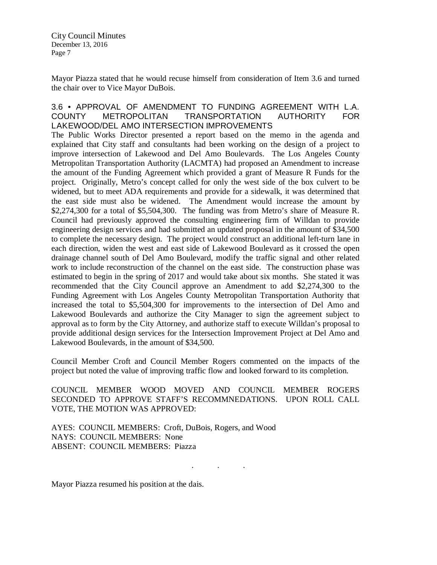Mayor Piazza stated that he would recuse himself from consideration of Item 3.6 and turned the chair over to Vice Mayor DuBois.

### 3.6 • APPROVAL OF AMENDMENT TO FUNDING AGREEMENT WITH L.A. COUNTY METROPOLITAN TRANSPORTATION AUTHORITY FOR LAKEWOOD/DEL AMO INTERSECTION IMPROVEMENTS

The Public Works Director presented a report based on the memo in the agenda and explained that City staff and consultants had been working on the design of a project to improve intersection of Lakewood and Del Amo Boulevards. The Los Angeles County Metropolitan Transportation Authority (LACMTA) had proposed an Amendment to increase the amount of the Funding Agreement which provided a grant of Measure R Funds for the project. Originally, Metro's concept called for only the west side of the box culvert to be widened, but to meet ADA requirements and provide for a sidewalk, it was determined that the east side must also be widened. The Amendment would increase the amount by \$2,274,300 for a total of \$5,504,300. The funding was from Metro's share of Measure R. Council had previously approved the consulting engineering firm of Willdan to provide engineering design services and had submitted an updated proposal in the amount of \$34,500 to complete the necessary design. The project would construct an additional left-turn lane in each direction, widen the west and east side of Lakewood Boulevard as it crossed the open drainage channel south of Del Amo Boulevard, modify the traffic signal and other related work to include reconstruction of the channel on the east side. The construction phase was estimated to begin in the spring of 2017 and would take about six months. She stated it was recommended that the City Council approve an Amendment to add \$2,274,300 to the Funding Agreement with Los Angeles County Metropolitan Transportation Authority that increased the total to \$5,504,300 for improvements to the intersection of Del Amo and Lakewood Boulevards and authorize the City Manager to sign the agreement subject to approval as to form by the City Attorney, and authorize staff to execute Willdan's proposal to provide additional design services for the Intersection Improvement Project at Del Amo and Lakewood Boulevards, in the amount of \$34,500.

Council Member Croft and Council Member Rogers commented on the impacts of the project but noted the value of improving traffic flow and looked forward to its completion.

COUNCIL MEMBER WOOD MOVED AND COUNCIL MEMBER ROGERS SECONDED TO APPROVE STAFF'S RECOMMNEDATIONS. UPON ROLL CALL VOTE, THE MOTION WAS APPROVED:

AYES: COUNCIL MEMBERS: Croft, DuBois, Rogers, and Wood NAYS: COUNCIL MEMBERS: None ABSENT: COUNCIL MEMBERS: Piazza

. . .

Mayor Piazza resumed his position at the dais.